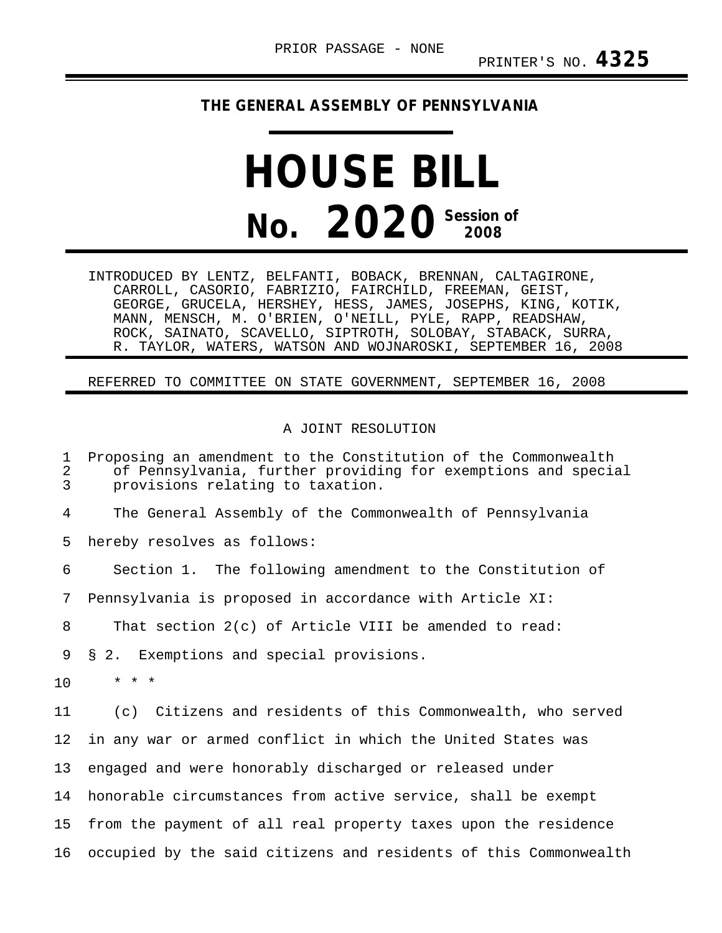## **THE GENERAL ASSEMBLY OF PENNSYLVANIA**

## **HOUSE BILL No. 2020 Session of**

INTRODUCED BY LENTZ, BELFANTI, BOBACK, BRENNAN, CALTAGIRONE, CARROLL, CASORIO, FABRIZIO, FAIRCHILD, FREEMAN, GEIST, GEORGE, GRUCELA, HERSHEY, HESS, JAMES, JOSEPHS, KING, KOTIK, MANN, MENSCH, M. O'BRIEN, O'NEILL, PYLE, RAPP, READSHAW, ROCK, SAINATO, SCAVELLO, SIPTROTH, SOLOBAY, STABACK, SURRA, R. TAYLOR, WATERS, WATSON AND WOJNAROSKI, SEPTEMBER 16, 2008

## REFERRED TO COMMITTEE ON STATE GOVERNMENT, SEPTEMBER 16, 2008

## A JOINT RESOLUTION

1 Proposing an amendment to the Constitution of the Commonwealth 2 of Pennsylvania, further providing for exemptions and special<br>3 provisions relating to taxation. provisions relating to taxation. 4 The General Assembly of the Commonwealth of Pennsylvania 5 hereby resolves as follows: 6 Section 1. The following amendment to the Constitution of 7 Pennsylvania is proposed in accordance with Article XI: 8 That section 2(c) of Article VIII be amended to read: 9 § 2. Exemptions and special provisions.  $10 \times * * *$ 11 (c) Citizens and residents of this Commonwealth, who served 12 in any war or armed conflict in which the United States was 13 engaged and were honorably discharged or released under 14 honorable circumstances from active service, shall be exempt 15 from the payment of all real property taxes upon the residence 16 occupied by the said citizens and residents of this Commonwealth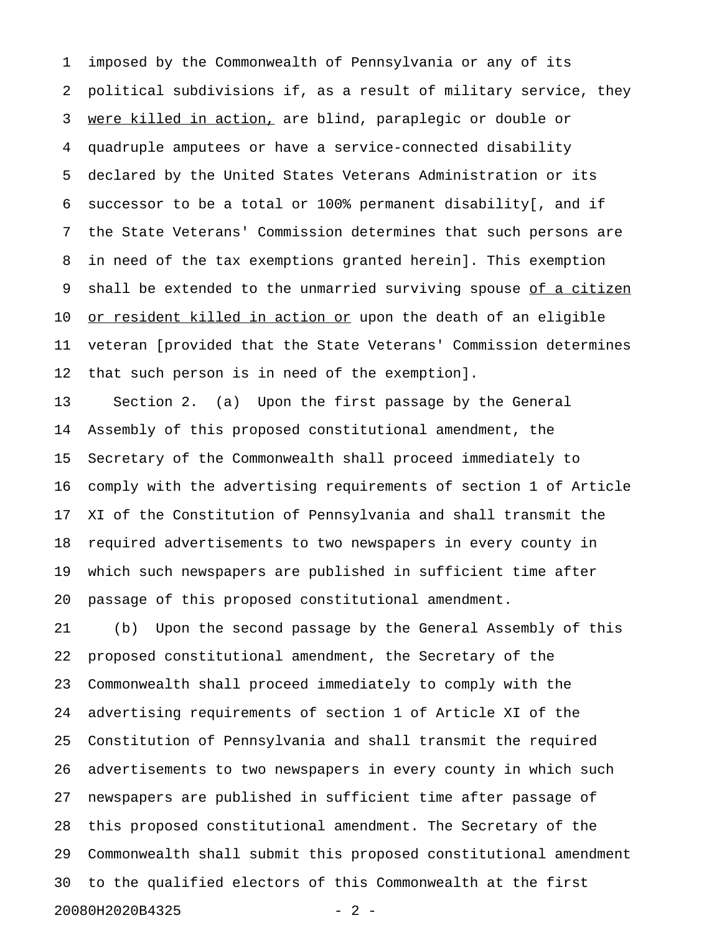1 imposed by the Commonwealth of Pennsylvania or any of its 2 political subdivisions if, as a result of military service, they 3 were killed in action, are blind, paraplegic or double or 4 quadruple amputees or have a service-connected disability 5 declared by the United States Veterans Administration or its 6 successor to be a total or 100% permanent disability[, and if 7 the State Veterans' Commission determines that such persons are 8 in need of the tax exemptions granted herein]. This exemption 9 shall be extended to the unmarried surviving spouse of a citizen 10 or resident killed in action or upon the death of an eligible 11 veteran [provided that the State Veterans' Commission determines 12 that such person is in need of the exemption].

13 Section 2. (a) Upon the first passage by the General 14 Assembly of this proposed constitutional amendment, the 15 Secretary of the Commonwealth shall proceed immediately to 16 comply with the advertising requirements of section 1 of Article 17 XI of the Constitution of Pennsylvania and shall transmit the 18 required advertisements to two newspapers in every county in 19 which such newspapers are published in sufficient time after 20 passage of this proposed constitutional amendment.

21 (b) Upon the second passage by the General Assembly of this 22 proposed constitutional amendment, the Secretary of the 23 Commonwealth shall proceed immediately to comply with the 24 advertising requirements of section 1 of Article XI of the 25 Constitution of Pennsylvania and shall transmit the required 26 advertisements to two newspapers in every county in which such 27 newspapers are published in sufficient time after passage of 28 this proposed constitutional amendment. The Secretary of the 29 Commonwealth shall submit this proposed constitutional amendment 30 to the qualified electors of this Commonwealth at the first 20080H2020B4325 - 2 -